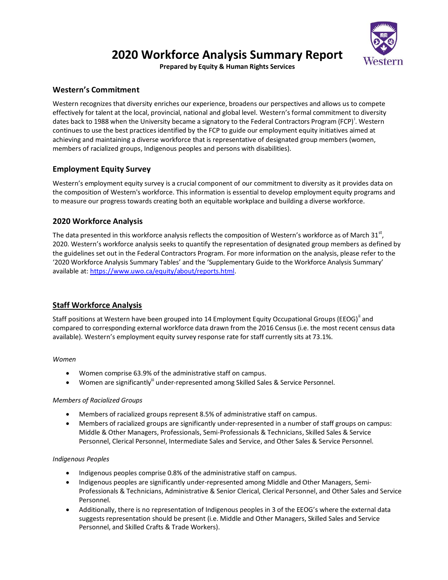

# **2020 Workforce Analysis Summary Report**

**Prepared by Equity & Human Rights Services**

# **Western's Commitment**

Western recognizes that diversity enriches our experience, broadens our perspectives and allows us to compete effectively for talent at the local, provincial, national and global level. Western's formal commitment to diversity dates back to 1988 when the University became a signatory to the Federal Contractors Program (FCP)<sup>i</sup>. Western continues to use the best practices identified by the FCP to guide our employment equity initiatives aimed at achieving and maintaining a diverse workforce that is representative of designated group members (women, members of racialized groups, Indigenous peoples and persons with disabilities).

# **Employment Equity Survey**

Western's employment equity survey is a crucial component of our commitment to diversity as it provides data on the composition of Western's workforce. This information is essential to develop employment equity programs and to measure our progress towards creating both an equitable workplace and building a diverse workforce.

# **2020 Workforce Analysis**

The data presented in this workforce analysis reflects the composition of Western's workforce as of March 31<sup>st</sup>, 2020. Western's workforce analysis seeks to quantify the representation of designated group members as defined by the guidelines set out in the Federal Contractors Program. For more information on the analysis, please refer to the '2020 Workforce Analysis Summary Tables' and the 'Supplementary Guide to the Workforce Analysis Summary' available at: [https://www.uwo.ca/equity/about/reports.html.](https://www.uwo.ca/equity/about/reports.html)

# **Staff Workforce Analysis**

Staff positions at Western have been grouped into 14 Employment Equity Occupational Groups (EEOG)" and compared to corresponding external workforce data drawn from the 2016 Census (i.e. the most recent census data available). Western's employment equity survey response rate for staff currently sits at 73.1%.

### *Women*

- Women comprise 63.9% of the administrative staff on campus.
- Women are significantly<sup>iii</sup> under-represented among Skilled Sales & Service Personnel.

### *Members of Racialized Groups*

- Members of racialized groups represent 8.5% of administrative staff on campus.
- Members of racialized groups are significantly under-represented in a number of staff groups on campus: Middle & Other Managers, Professionals, Semi-Professionals & Technicians, Skilled Sales & Service Personnel, Clerical Personnel, Intermediate Sales and Service, and Other Sales & Service Personnel.

### *Indigenous Peoples*

- Indigenous peoples comprise 0.8% of the administrative staff on campus.
- Indigenous peoples are significantly under-represented among Middle and Other Managers, Semi-Professionals & Technicians, Administrative & Senior Clerical, Clerical Personnel, and Other Sales and Service Personnel.
- Additionally, there is no representation of Indigenous peoples in 3 of the EEOG's where the external data suggests representation should be present (i.e. Middle and Other Managers, Skilled Sales and Service Personnel, and Skilled Crafts & Trade Workers).